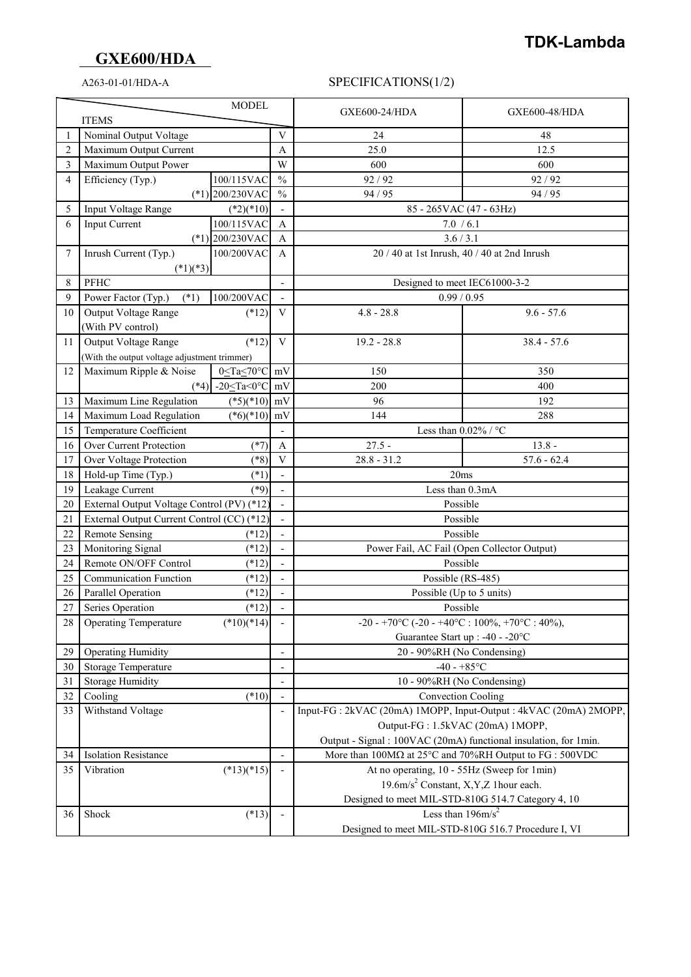# **GXE600/HDA**

### A263-01-01/HDA-A SPECIFICATIONS(1/2)

| <b>MODEL</b>   |                                              |                                                                  | <b>GXE600-24/HDA</b>                                             | <b>GXE600-48/HDA</b>                                                                               |               |
|----------------|----------------------------------------------|------------------------------------------------------------------|------------------------------------------------------------------|----------------------------------------------------------------------------------------------------|---------------|
|                | <b>ITEMS</b>                                 |                                                                  |                                                                  |                                                                                                    |               |
| 1              | Nominal Output Voltage                       |                                                                  | V                                                                | 24                                                                                                 | 48            |
| $\overline{2}$ | Maximum Output Current                       |                                                                  | A                                                                | 25.0                                                                                               | 12.5          |
| 3              | Maximum Output Power                         |                                                                  | W                                                                | 600                                                                                                | 600           |
| 4              | Efficiency (Typ.)                            | 100/115VAC                                                       | $\frac{0}{0}$                                                    | 92/92                                                                                              | 92 / 92       |
|                |                                              | $(*1)$ 200/230VAC                                                | $\frac{0}{0}$                                                    | 94 / 95                                                                                            | 94 / 95       |
| 5              | Input Voltage Range                          | $(*2)(*10)$                                                      |                                                                  | 85 - 265VAC (47 - 63Hz)                                                                            |               |
| 6              | <b>Input Current</b><br>100/115VAC           |                                                                  | $\overline{A}$                                                   | 7.0 / 6.1                                                                                          |               |
|                |                                              | $(*1)$ 200/230VAC                                                | A                                                                | 3.6 / 3.1                                                                                          |               |
| 7              | Inrush Current (Typ.)                        | 100/200VAC                                                       | A                                                                | 20 / 40 at 1st Inrush, 40 / 40 at 2nd Inrush                                                       |               |
|                | $(*1)(*3)$                                   |                                                                  |                                                                  |                                                                                                    |               |
| 8              | <b>PFHC</b>                                  |                                                                  | $\overline{\phantom{0}}$                                         | Designed to meet IEC61000-3-2                                                                      |               |
| 9              | 100/200VAC<br>Power Factor (Typ.)<br>$(*1)$  |                                                                  |                                                                  | 0.99 / 0.95                                                                                        |               |
| 10             | Output Voltage Range                         | $(*12)$                                                          | V                                                                | $4.8 - 28.8$                                                                                       | $9.6 - 57.6$  |
|                | (With PV control)                            |                                                                  |                                                                  |                                                                                                    |               |
| 11             | <b>Output Voltage Range</b>                  | $(*12)$                                                          | $\mathbf{V}$                                                     | $19.2 - 28.8$                                                                                      | $38.4 - 57.6$ |
|                | (With the output voltage adjustment trimmer) |                                                                  |                                                                  |                                                                                                    |               |
| 12             | Maximum Ripple & Noise                       | 0 <ta<70°c< td=""><td>mV</td><td>150</td><td>350</td></ta<70°c<> | mV                                                               | 150                                                                                                | 350           |
|                | $(*4)$                                       | -20 <ta<0<math>°C</ta<0<math>                                    | mV                                                               | 200                                                                                                | 400           |
| 13             | Maximum Line Regulation                      | $(*5)(*10)$                                                      | mV                                                               | 96                                                                                                 | 192           |
| 14             | Maximum Load Regulation                      | $(*6)(*10)$                                                      | mV                                                               | 144                                                                                                | 288           |
| 15             | Temperature Coefficient                      |                                                                  |                                                                  | Less than $0.02\%$ / °C                                                                            |               |
| 16             | Over Current Protection                      | $(*7)$                                                           | $\mathbf{A}$                                                     | $27.5 -$                                                                                           | $13.8 -$      |
| 17             | Over Voltage Protection                      | $(*8)$                                                           | $\bar{V}$                                                        | $28.8 - 31.2$                                                                                      | $57.6 - 62.4$ |
| 18             | Hold-up Time (Typ.)                          | $(*1)$                                                           |                                                                  | 20ms                                                                                               |               |
| 19             | Leakage Current                              | $(*9)$                                                           |                                                                  | Less than 0.3mA                                                                                    |               |
| 20             | External Output Voltage Control (PV) (*12)   |                                                                  |                                                                  | Possible                                                                                           |               |
| 21             | External Output Current Control (CC) (*12)   |                                                                  |                                                                  | Possible                                                                                           |               |
| 22             | <b>Remote Sensing</b><br>$(*12)$             |                                                                  | $\overline{\phantom{0}}$                                         | Possible                                                                                           |               |
| 23             | Monitoring Signal                            | $(*12)$                                                          | $\overline{\phantom{0}}$                                         | Power Fail, AC Fail (Open Collector Output)                                                        |               |
| 24             | Remote ON/OFF Control<br>$(*12)$             |                                                                  | $\overline{\phantom{a}}$                                         | Possible                                                                                           |               |
| 25             | Communication Function<br>$(*12)$            |                                                                  | $\overline{a}$                                                   | Possible (RS-485)                                                                                  |               |
| 26             | Parallel Operation<br>$(*12)$                |                                                                  |                                                                  | Possible (Up to 5 units)                                                                           |               |
| 27             | Series Operation                             | $(*12)$                                                          | $\overline{\phantom{a}}$                                         | Possible                                                                                           |               |
| 28             | <b>Operating Temperature</b>                 | $(*10)(*14)$                                                     |                                                                  | -20 - +70°C (-20 - +40°C : 100%, +70°C : 40%),                                                     |               |
|                |                                              |                                                                  |                                                                  | Guarantee Start up : -40 - -20°C                                                                   |               |
| 29             | <b>Operating Humidity</b>                    |                                                                  | $\overline{\phantom{a}}$                                         | 20 - 90%RH (No Condensing)                                                                         |               |
| 30             | Storage Temperature                          |                                                                  | $\overline{\phantom{a}}$                                         | $-40 - +85$ °C                                                                                     |               |
| 31             | <b>Storage Humidity</b>                      |                                                                  |                                                                  | 10 - 90%RH (No Condensing)                                                                         |               |
| 32             | Cooling                                      | $(*10)$                                                          |                                                                  | Convection Cooling                                                                                 |               |
| 33             | Withstand Voltage                            |                                                                  |                                                                  | Input-FG: 2kVAC (20mA) 1MOPP, Input-Output: 4kVAC (20mA) 2MOPP,                                    |               |
|                |                                              |                                                                  |                                                                  | Output-FG: 1.5kVAC (20mA) 1MOPP,                                                                   |               |
|                |                                              |                                                                  | Output - Signal : 100VAC (20mA) functional insulation, for 1min. |                                                                                                    |               |
| 34             | <b>Isolation Resistance</b>                  |                                                                  |                                                                  | More than $100\text{M}\Omega$ at $25^{\circ}\text{C}$ and $70\%$ RH Output to FG : $500\text{VDC}$ |               |
| 35             | Vibration                                    | $(*13)(*15)$                                                     |                                                                  | At no operating, 10 - 55Hz (Sweep for 1min)                                                        |               |
|                |                                              |                                                                  |                                                                  | 19.6m/s <sup>2</sup> Constant, X,Y,Z 1hour each.                                                   |               |
|                |                                              |                                                                  | Designed to meet MIL-STD-810G 514.7 Category 4, 10               |                                                                                                    |               |
| 36             | Shock                                        | $(*13)$                                                          |                                                                  | Less than $196 \text{m/s}^2$                                                                       |               |
|                |                                              |                                                                  |                                                                  | Designed to meet MIL-STD-810G 516.7 Procedure I, VI                                                |               |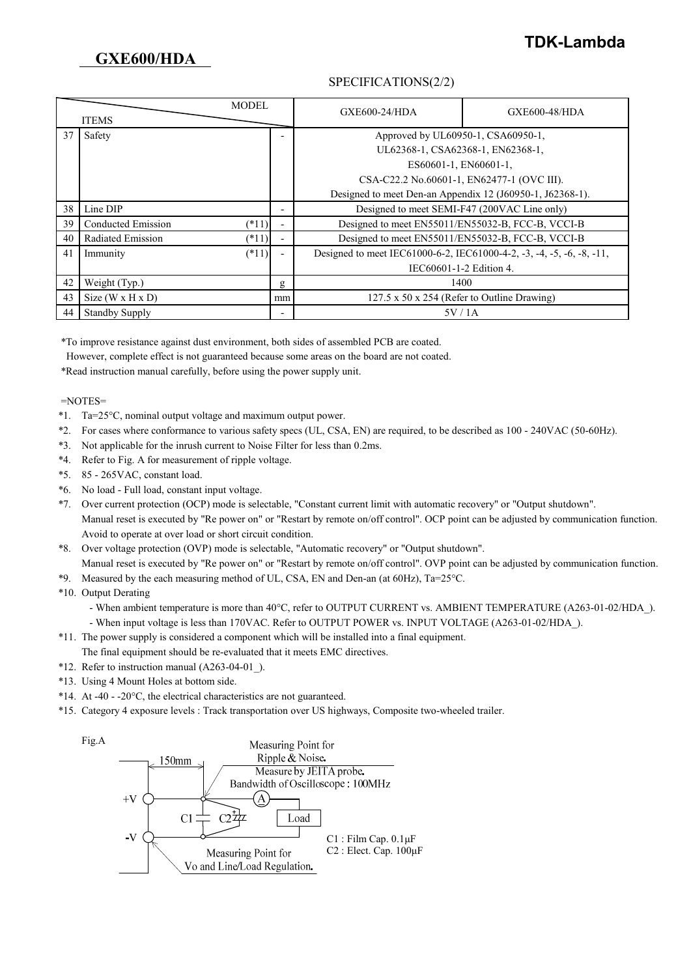## **TDK-Lambda**

### SPECIFICATIONS(2/2)

| <b>MODEL</b><br><b>ITEMS</b> |                       |         | GXE600-24/HDA | GXE600-48/HDA                                                         |  |
|------------------------------|-----------------------|---------|---------------|-----------------------------------------------------------------------|--|
| 37                           | Safety                |         |               | Approved by UL60950-1, CSA60950-1,                                    |  |
|                              |                       |         |               | UL62368-1, CSA62368-1, EN62368-1,                                     |  |
|                              |                       |         |               | ES60601-1, EN60601-1,                                                 |  |
|                              |                       |         |               | CSA-C22.2 No.60601-1, EN62477-1 (OVC III).                            |  |
|                              |                       |         |               | Designed to meet Den-an Appendix 12 (J60950-1, J62368-1).             |  |
| 38                           | Line DIP              |         |               | Designed to meet SEMI-F47 (200VAC Line only)                          |  |
| 39                           | Conducted Emission    | $(*11)$ |               | Designed to meet EN55011/EN55032-B, FCC-B, VCCI-B                     |  |
| 40                           | Radiated Emission     | $(*11)$ |               | Designed to meet EN55011/EN55032-B, FCC-B, VCCI-B                     |  |
| 41                           | Immunity              | $(*11)$ |               | Designed to meet IEC61000-6-2, IEC61000-4-2, -3, -4, -5, -6, -8, -11, |  |
|                              |                       |         |               | IEC60601-1-2 Edition 4.                                               |  |
| 42                           | Weight (Typ.)         |         | g             | 1400                                                                  |  |
| 43                           | Size (W x H x D)      |         | mm            | $127.5 \times 50 \times 254$ (Refer to Outline Drawing)               |  |
| 44                           | <b>Standby Supply</b> |         |               | 5V/1A                                                                 |  |

\*To improve resistance against dust environment, both sides of assembled PCB are coated.

However, complete effect is not guaranteed because some areas on the board are not coated.

\*Read instruction manual carefully, before using the power supply unit.

#### =NOTES=

- \*1. Ta=25°C, nominal output voltage and maximum output power.
- \*2. For cases where conformance to various safety specs (UL, CSA, EN) are required, to be described as 100 240VAC (50-60Hz).
- \*3. Not applicable for the inrush current to Noise Filter for less than 0.2ms.
- \*4. Refer to Fig. A for measurement of ripple voltage.
- \*5. 85 265VAC, constant load.
- \*6. No load Full load, constant input voltage.
- \*7. Over current protection (OCP) mode is selectable, "Constant current limit with automatic recovery" or "Output shutdown". Manual reset is executed by "Re power on" or "Restart by remote on/off control". OCP point can be adjusted by communication function. Avoid to operate at over load or short circuit condition.
- \*8. Over voltage protection (OVP) mode is selectable, "Automatic recovery" or "Output shutdown".
- Manual reset is executed by "Re power on" or "Restart by remote on/off control". OVP point can be adjusted by communication function. \*9. Measured by the each measuring method of UL, CSA, EN and Den-an (at 60Hz), Ta=25°C.

\*10. Output Derating

 - When ambient temperature is more than 40°C, refer to OUTPUT CURRENT vs. AMBIENT TEMPERATURE (A263-01-02/HDA\_). - When input voltage is less than 170VAC. Refer to OUTPUT POWER vs. INPUT VOLTAGE (A263-01-02/HDA).

- \*11. The power supply is considered a component which will be installed into a final equipment.
- The final equipment should be re-evaluated that it meets EMC directives.
- \*12. Refer to instruction manual (A263-04-01\_).
- \*13. Using 4 Mount Holes at bottom side.
- $*14$ . At -40 -20 $^{\circ}$ C, the electrical characteristics are not guaranteed.
- \*15. Category 4 exposure levels : Track transportation over US highways, Composite two-wheeled trailer.